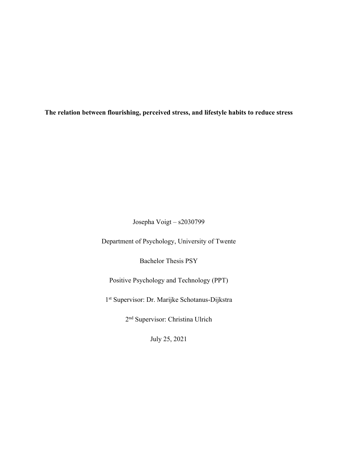**The relation between flourishing, perceived stress, and lifestyle habits to reduce stress**

Josepha Voigt – s2030799

Department of Psychology, University of Twente

Bachelor Thesis PSY

Positive Psychology and Technology (PPT)

1st Supervisor: Dr. Marijke Schotanus-Dijkstra

2nd Supervisor: Christina Ulrich

July 25, 2021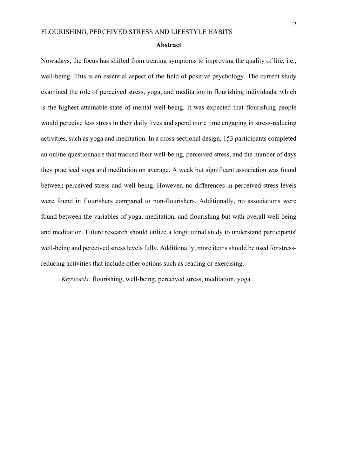#### **Abstract**

Nowadays, the focus has shifted from treating symptoms to improving the quality of life, i.e., well-being. This is an essential aspect of the field of positive psychology. The current study examined the role of perceived stress, yoga, and meditation in flourishing individuals, which is the highest attainable state of mental well-being. It was expected that flourishing people would perceive less stress in their daily lives and spend more time engaging in stress-reducing activities, such as yoga and meditation. In a cross-sectional design, 153 participants completed an online questionnaire that tracked their well-being, perceived stress, and the number of days they practiced yoga and meditation on average. A weak but significant association was found between perceived stress and well-being. However, no differences in perceived stress levels were found in flourishers compared to non-flourishers. Additionally, no associations were found between the variables of yoga, meditation, and flourishing but with overall well-being and meditation. Future research should utilize a longitudinal study to understand participants' well-being and perceived stress levels fully. Additionally, more items should be used for stressreducing activities that include other options such as reading or exercising.

*Keywords:* flourishing, well-being, perceived stress, meditation, yoga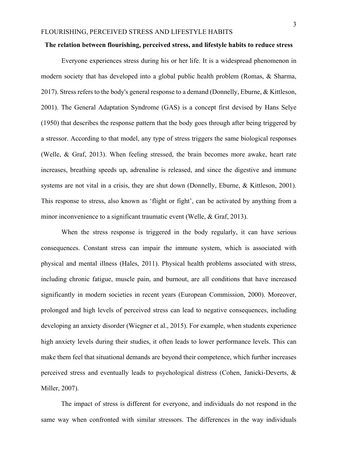#### **The relation between flourishing, perceived stress, and lifestyle habits to reduce stress**

Everyone experiences stress during his or her life. It is a widespread phenomenon in modern society that has developed into a global public health problem (Romas, & Sharma, 2017). Stress refers to the body's general response to a demand (Donnelly, Eburne, & Kittleson, 2001). The General Adaptation Syndrome (GAS) is a concept first devised by Hans Selye (1950) that describes the response pattern that the body goes through after being triggered by a stressor. According to that model, any type of stress triggers the same biological responses (Welle, & Graf, 2013). When feeling stressed, the brain becomes more awake, heart rate increases, breathing speeds up, adrenaline is released, and since the digestive and immune systems are not vital in a crisis, they are shut down (Donnelly, Eburne, & Kittleson, 2001). This response to stress, also known as 'flight or fight', can be activated by anything from a minor inconvenience to a significant traumatic event (Welle, & Graf, 2013).

When the stress response is triggered in the body regularly, it can have serious consequences. Constant stress can impair the immune system, which is associated with physical and mental illness (Hales, 2011). Physical health problems associated with stress, including chronic fatigue, muscle pain, and burnout, are all conditions that have increased significantly in modern societies in recent years (European Commission, 2000). Moreover, prolonged and high levels of perceived stress can lead to negative consequences, including developing an anxiety disorder (Wiegner et al., 2015). For example, when students experience high anxiety levels during their studies, it often leads to lower performance levels. This can make them feel that situational demands are beyond their competence, which further increases perceived stress and eventually leads to psychological distress (Cohen, Janicki-Deverts, & Miller, 2007).

The impact of stress is different for everyone, and individuals do not respond in the same way when confronted with similar stressors. The differences in the way individuals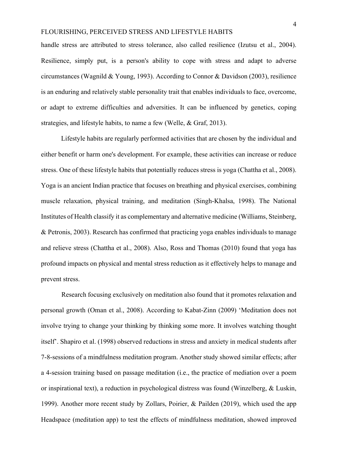handle stress are attributed to stress tolerance, also called resilience (Izutsu et al., 2004). Resilience, simply put, is a person's ability to cope with stress and adapt to adverse circumstances (Wagnild & Young, 1993). According to Connor & Davidson (2003), resilience is an enduring and relatively stable personality trait that enables individuals to face, overcome, or adapt to extreme difficulties and adversities. It can be influenced by genetics, coping strategies, and lifestyle habits, to name a few (Welle, & Graf, 2013).

Lifestyle habits are regularly performed activities that are chosen by the individual and either benefit or harm one's development. For example, these activities can increase or reduce stress. One of these lifestyle habits that potentially reduces stress is yoga (Chattha et al., 2008). Yoga is an ancient Indian practice that focuses on breathing and physical exercises, combining muscle relaxation, physical training, and meditation (Singh-Khalsa, 1998). The National Institutes of Health classify it as complementary and alternative medicine (Williams, Steinberg, & Petronis, 2003). Research has confirmed that practicing yoga enables individuals to manage and relieve stress (Chattha et al., 2008). Also, Ross and Thomas (2010) found that yoga has profound impacts on physical and mental stress reduction as it effectively helps to manage and prevent stress.

Research focusing exclusively on meditation also found that it promotes relaxation and personal growth (Oman et al., 2008). According to Kabat-Zinn (2009) 'Meditation does not involve trying to change your thinking by thinking some more. It involves watching thought itself'. Shapiro et al. (1998) observed reductions in stress and anxiety in medical students after 7-8-sessions of a mindfulness meditation program. Another study showed similar effects; after a 4-session training based on passage meditation (i.e., the practice of mediation over a poem or inspirational text), a reduction in psychological distress was found (Winzelberg, & Luskin, 1999). Another more recent study by Zollars, Poirier, & Pailden (2019), which used the app Headspace (meditation app) to test the effects of mindfulness meditation, showed improved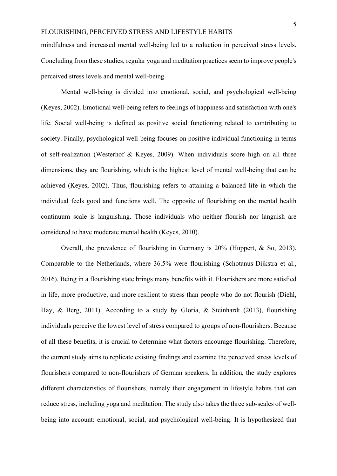mindfulness and increased mental well-being led to a reduction in perceived stress levels. Concluding from these studies, regular yoga and meditation practices seem to improve people's perceived stress levels and mental well-being.

Mental well-being is divided into emotional, social, and psychological well-being (Keyes, 2002). Emotional well-being refers to feelings of happiness and satisfaction with one's life. Social well-being is defined as positive social functioning related to contributing to society. Finally, psychological well-being focuses on positive individual functioning in terms of self-realization (Westerhof & Keyes, 2009). When individuals score high on all three dimensions, they are flourishing, which is the highest level of mental well-being that can be achieved (Keyes, 2002). Thus, flourishing refers to attaining a balanced life in which the individual feels good and functions well. The opposite of flourishing on the mental health continuum scale is languishing. Those individuals who neither flourish nor languish are considered to have moderate mental health (Keyes, 2010).

Overall, the prevalence of flourishing in Germany is 20% (Huppert, & So, 2013). Comparable to the Netherlands, where 36.5% were flourishing (Schotanus-Dijkstra et al., 2016). Being in a flourishing state brings many benefits with it. Flourishers are more satisfied in life, more productive, and more resilient to stress than people who do not flourish (Diehl, Hay, & Berg, 2011). According to a study by Gloria, & Steinhardt (2013), flourishing individuals perceive the lowest level of stress compared to groups of non-flourishers. Because of all these benefits, it is crucial to determine what factors encourage flourishing. Therefore, the current study aims to replicate existing findings and examine the perceived stress levels of flourishers compared to non-flourishers of German speakers. In addition, the study explores different characteristics of flourishers, namely their engagement in lifestyle habits that can reduce stress, including yoga and meditation. The study also takes the three sub-scales of wellbeing into account: emotional, social, and psychological well-being. It is hypothesized that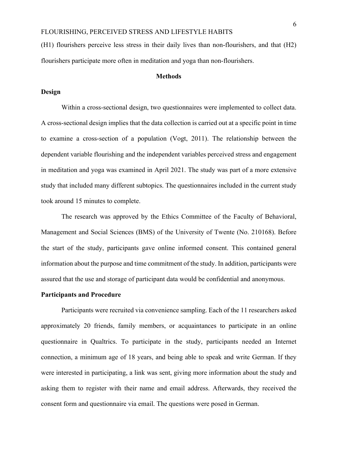(H1) flourishers perceive less stress in their daily lives than non-flourishers, and that (H2) flourishers participate more often in meditation and yoga than non-flourishers.

#### **Methods**

### **Design**

Within a cross-sectional design, two questionnaires were implemented to collect data. A cross-sectional design implies that the data collection is carried out at a specific point in time to examine a cross-section of a population (Vogt, 2011). The relationship between the dependent variable flourishing and the independent variables perceived stress and engagement in meditation and yoga was examined in April 2021. The study was part of a more extensive study that included many different subtopics. The questionnaires included in the current study took around 15 minutes to complete.

The research was approved by the Ethics Committee of the Faculty of Behavioral, Management and Social Sciences (BMS) of the University of Twente (No. 210168). Before the start of the study, participants gave online informed consent. This contained general information about the purpose and time commitment of the study. In addition, participants were assured that the use and storage of participant data would be confidential and anonymous.

### **Participants and Procedure**

Participants were recruited via convenience sampling. Each of the 11 researchers asked approximately 20 friends, family members, or acquaintances to participate in an online questionnaire in Qualtrics. To participate in the study, participants needed an Internet connection, a minimum age of 18 years, and being able to speak and write German. If they were interested in participating, a link was sent, giving more information about the study and asking them to register with their name and email address. Afterwards, they received the consent form and questionnaire via email. The questions were posed in German.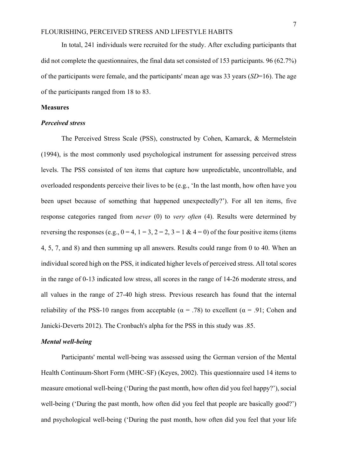In total, 241 individuals were recruited for the study. After excluding participants that did not complete the questionnaires, the final data set consisted of 153 participants. 96 (62.7%) of the participants were female, and the participants' mean age was 33 years (*SD*=16). The age of the participants ranged from 18 to 83.

#### **Measures**

### *Perceived stress*

The Perceived Stress Scale (PSS), constructed by Cohen, Kamarck, & Mermelstein (1994), is the most commonly used psychological instrument for assessing perceived stress levels. The PSS consisted of ten items that capture how unpredictable, uncontrollable, and overloaded respondents perceive their lives to be (e.g., 'In the last month, how often have you been upset because of something that happened unexpectedly?'). For all ten items, five response categories ranged from *never* (0) to *very often* (4). Results were determined by reversing the responses (e.g.,  $0 = 4$ ,  $1 = 3$ ,  $2 = 2$ ,  $3 = 1$  &  $4 = 0$ ) of the four positive items (items 4, 5, 7, and 8) and then summing up all answers. Results could range from 0 to 40. When an individual scored high on the PSS, it indicated higher levels of perceived stress. All total scores in the range of 0-13 indicated low stress, all scores in the range of 14-26 moderate stress, and all values in the range of 27-40 high stress. Previous research has found that the internal reliability of the PSS-10 ranges from acceptable ( $\alpha$  = .78) to excellent ( $\alpha$  = .91; Cohen and Janicki-Deverts 2012). The Cronbach's alpha for the PSS in this study was .85.

### *Mental well-being*

Participants' mental well-being was assessed using the German version of the Mental Health Continuum-Short Form (MHC-SF) (Keyes, 2002). This questionnaire used 14 items to measure emotional well-being ('During the past month, how often did you feel happy?'), social well-being ('During the past month, how often did you feel that people are basically good?') and psychological well-being ('During the past month, how often did you feel that your life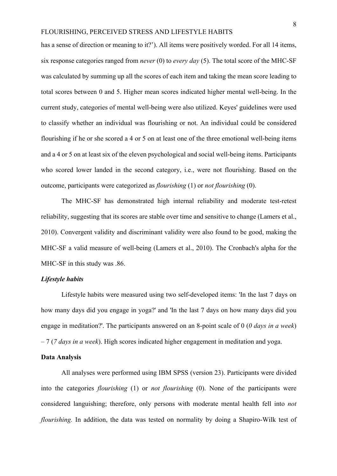has a sense of direction or meaning to it?'). All items were positively worded. For all 14 items, six response categories ranged from *never* (0) to *every day* (5). The total score of the MHC-SF was calculated by summing up all the scores of each item and taking the mean score leading to total scores between 0 and 5. Higher mean scores indicated higher mental well-being. In the current study, categories of mental well-being were also utilized. Keyes' guidelines were used to classify whether an individual was flourishing or not. An individual could be considered flourishing if he or she scored a 4 or 5 on at least one of the three emotional well-being items and a 4 or 5 on at least six of the eleven psychological and social well-being items. Participants who scored lower landed in the second category, i.e., were not flourishing. Based on the outcome, participants were categorized as *flourishing* (1) or *not flourishing* (0).

The MHC-SF has demonstrated high internal reliability and moderate test-retest reliability, suggesting that its scores are stable over time and sensitive to change (Lamers et al., 2010). Convergent validity and discriminant validity were also found to be good, making the MHC-SF a valid measure of well-being (Lamers et al., 2010). The Cronbach's alpha for the MHC-SF in this study was .86.

### *Lifestyle habits*

Lifestyle habits were measured using two self-developed items: 'In the last 7 days on how many days did you engage in yoga?' and 'In the last 7 days on how many days did you engage in meditation?'. The participants answered on an 8-point scale of 0 (*0 days in a week*) – 7 (*7 days in a week*). High scores indicated higher engagement in meditation and yoga.

# **Data Analysis**

All analyses were performed using IBM SPSS (version 23). Participants were divided into the categories *flourishing* (1) or *not flourishing* (0). None of the participants were considered languishing; therefore, only persons with moderate mental health fell into *not flourishing.* In addition, the data was tested on normality by doing a Shapiro-Wilk test of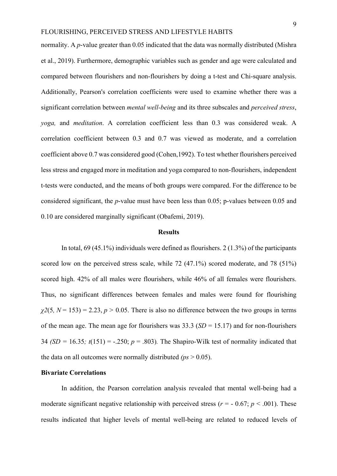normality. A *p*-value greater than 0.05 indicated that the data was normally distributed (Mishra et al., 2019). Furthermore, demographic variables such as gender and age were calculated and compared between flourishers and non-flourishers by doing a t-test and Chi-square analysis. Additionally, Pearson's correlation coefficients were used to examine whether there was a significant correlation between *mental well-being* and its three subscales and *perceived stress*, *yoga,* and *meditation*. A correlation coefficient less than 0.3 was considered weak. A correlation coefficient between 0.3 and 0.7 was viewed as moderate, and a correlation coefficient above 0.7 was considered good (Cohen,1992). To test whether flourishers perceived less stress and engaged more in meditation and yoga compared to non-flourishers, independent t-tests were conducted, and the means of both groups were compared. For the difference to be considered significant, the *p*-value must have been less than 0.05; p-values between 0.05 and 0.10 are considered marginally significant (Obafemi, 2019).

### **Results**

In total, 69 (45.1%) individuals were defined as flourishers. 2 (1.3%) of the participants scored low on the perceived stress scale, while 72 (47.1%) scored moderate, and 78 (51%) scored high. 42% of all males were flourishers, while 46% of all females were flourishers. Thus, no significant differences between females and males were found for flourishing  $\chi$ 2(5,  $N = 153$ ) = 2.23,  $p > 0.05$ . There is also no difference between the two groups in terms of the mean age. The mean age for flourishers was 33.3 (*SD* = 15.17) and for non-flourishers 34 *(SD = 16.35; t*(151) = -.250;  $p = .803$ ). The Shapiro-Wilk test of normality indicated that the data on all outcomes were normally distributed  $(p_s > 0.05)$ .

### **Bivariate Correlations**

In addition, the Pearson correlation analysis revealed that mental well-being had a moderate significant negative relationship with perceived stress ( $r = -0.67$ ;  $p < 0.001$ ). These results indicated that higher levels of mental well-being are related to reduced levels of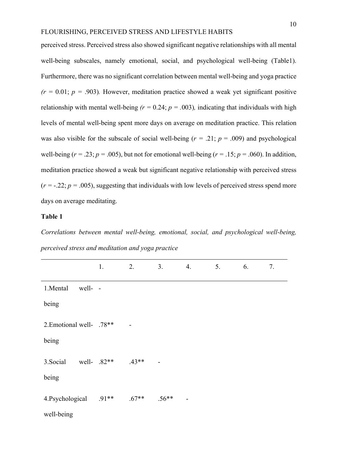perceived stress. Perceived stress also showed significant negative relationships with all mental well-being subscales, namely emotional, social, and psychological well-being (Table1). Furthermore, there was no significant correlation between mental well-being and yoga practice  $(r = 0.01; p = .903)$ . However, meditation practice showed a weak yet significant positive relationship with mental well-being  $(r = 0.24; p = .003)$ , indicating that individuals with high levels of mental well-being spent more days on average on meditation practice. This relation was also visible for the subscale of social well-being  $(r = .21; p = .009)$  and psychological well-being ( $r = .23$ ;  $p = .005$ ), but not for emotional well-being ( $r = .15$ ;  $p = .060$ ). In addition, meditation practice showed a weak but significant negative relationship with perceived stress  $(r = -0.22; p = 0.005)$ , suggesting that individuals with low levels of perceived stress spend more days on average meditating.

## **Table 1**

*Correlations between mental well-being, emotional, social, and psychological well-being, perceived stress and meditation and yoga practice*

|                            | 1. | 2.             | 3.                       | 4.                       | 5. | 6. | 7. |
|----------------------------|----|----------------|--------------------------|--------------------------|----|----|----|
| 1.Mental<br>well- -        |    |                |                          |                          |    |    |    |
| being                      |    |                |                          |                          |    |    |    |
| 2. Emotional well- .78**   |    | $\blacksquare$ |                          |                          |    |    |    |
| being                      |    |                |                          |                          |    |    |    |
| 3. Social<br>well- $.82**$ |    | $.43**$        | $\overline{\phantom{a}}$ |                          |    |    |    |
| being                      |    |                |                          |                          |    |    |    |
| 4.Psychological .91**      |    | $.67**$        | $.56**$                  | $\overline{\phantom{a}}$ |    |    |    |
| well-being                 |    |                |                          |                          |    |    |    |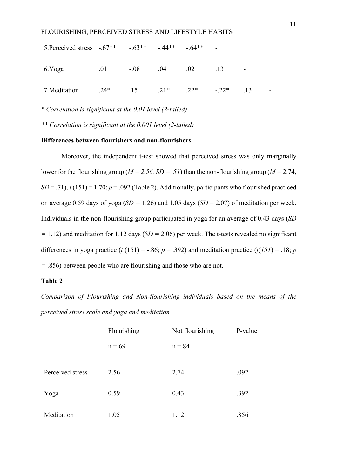| FLOUKISHINU, PEKUEIVED STKESS AND LIFEST FLE HABITS       |                                    |  |  |    |  |
|-----------------------------------------------------------|------------------------------------|--|--|----|--|
| 5. Perceived stress $-.67**$ $-.63**$ $-.44**$ $-.64**$ - |                                    |  |  |    |  |
| 6.Yoga                                                    | $.01$ $-.08$ $.04$ $.02$ $.13$     |  |  |    |  |
| 7. Meditation                                             | $.24*$ $.15$ $.21*$ $.22*$ $-.22*$ |  |  | 13 |  |

*\* Correlation is significant at the 0.01 level (2-tailed)* 

*\*\* Correlation is significant at the 0.001 level (2-tailed)* 

### **Differences between flourishers and non-flourishers**

Moreover, the independent t-test showed that perceived stress was only marginally lower for the flourishing group (*M = 2.56, SD = .51*) than the non-flourishing group (*M =* 2.74,  $SD = .71$ ,  $t(151) = 1.70$ ;  $p = .092$  (Table 2). Additionally, participants who flourished practiced on average 0.59 days of yoga (*SD =* 1.26) and 1.05 days (*SD* = 2.07) of meditation per week. Individuals in the non-flourishing group participated in yoga for an average of 0.43 days (*SD =* 1.12) and meditation for 1.12 days (*SD =* 2.06) per week. The t-tests revealed no significant differences in yoga practice ( $t$  (151) = -.86;  $p = .392$ ) and meditation practice ( $t$ (151) = .18;  $p$ *=* .856) between people who are flourishing and those who are not.

### **Table 2**

*Comparison of Flourishing and Non-flourishing individuals based on the means of the perceived stress scale and yoga and meditation*

|                  | Flourishing | Not flourishing | P-value |
|------------------|-------------|-----------------|---------|
|                  | $n = 69$    | $n = 84$        |         |
|                  |             |                 |         |
| Perceived stress | 2.56        | 2.74            | .092    |
|                  |             |                 |         |
| Yoga             | 0.59        | 0.43            | .392    |
|                  |             |                 |         |
| Meditation       | 1.05        | 1.12            | .856    |
|                  |             |                 |         |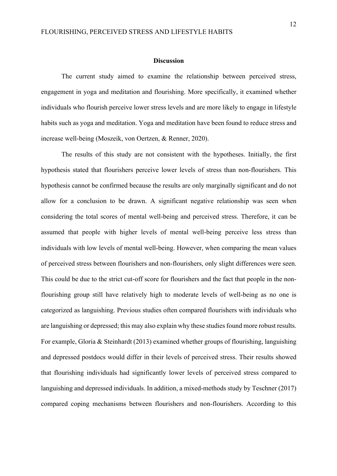#### **Discussion**

The current study aimed to examine the relationship between perceived stress, engagement in yoga and meditation and flourishing. More specifically, it examined whether individuals who flourish perceive lower stress levels and are more likely to engage in lifestyle habits such as yoga and meditation. Yoga and meditation have been found to reduce stress and increase well-being (Moszeik, von Oertzen, & Renner, 2020).

The results of this study are not consistent with the hypotheses. Initially, the first hypothesis stated that flourishers perceive lower levels of stress than non-flourishers. This hypothesis cannot be confirmed because the results are only marginally significant and do not allow for a conclusion to be drawn. A significant negative relationship was seen when considering the total scores of mental well-being and perceived stress. Therefore, it can be assumed that people with higher levels of mental well-being perceive less stress than individuals with low levels of mental well-being. However, when comparing the mean values of perceived stress between flourishers and non-flourishers, only slight differences were seen. This could be due to the strict cut-off score for flourishers and the fact that people in the nonflourishing group still have relatively high to moderate levels of well-being as no one is categorized as languishing. Previous studies often compared flourishers with individuals who are languishing or depressed; this may also explain why these studies found more robust results. For example, Gloria & Steinhardt (2013) examined whether groups of flourishing, languishing and depressed postdocs would differ in their levels of perceived stress. Their results showed that flourishing individuals had significantly lower levels of perceived stress compared to languishing and depressed individuals. In addition, a mixed-methods study by Teschner (2017) compared coping mechanisms between flourishers and non-flourishers. According to this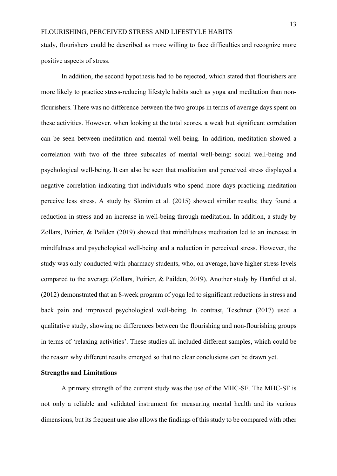study, flourishers could be described as more willing to face difficulties and recognize more positive aspects of stress.

In addition, the second hypothesis had to be rejected, which stated that flourishers are more likely to practice stress-reducing lifestyle habits such as yoga and meditation than nonflourishers. There was no difference between the two groups in terms of average days spent on these activities. However, when looking at the total scores, a weak but significant correlation can be seen between meditation and mental well-being. In addition, meditation showed a correlation with two of the three subscales of mental well-being: social well-being and psychological well-being. It can also be seen that meditation and perceived stress displayed a negative correlation indicating that individuals who spend more days practicing meditation perceive less stress. A study by Slonim et al. (2015) showed similar results; they found a reduction in stress and an increase in well-being through meditation. In addition, a study by Zollars, Poirier, & Pailden (2019) showed that mindfulness meditation led to an increase in mindfulness and psychological well-being and a reduction in perceived stress. However, the study was only conducted with pharmacy students, who, on average, have higher stress levels compared to the average (Zollars, Poirier, & Pailden, 2019). Another study by Hartfiel et al. (2012) demonstrated that an 8-week program of yoga led to significant reductions in stress and back pain and improved psychological well-being. In contrast, Teschner (2017) used a qualitative study, showing no differences between the flourishing and non-flourishing groups in terms of 'relaxing activities'. These studies all included different samples, which could be the reason why different results emerged so that no clear conclusions can be drawn yet.

### **Strengths and Limitations**

A primary strength of the current study was the use of the MHC-SF. The MHC-SF is not only a reliable and validated instrument for measuring mental health and its various dimensions, but its frequent use also allows the findings of this study to be compared with other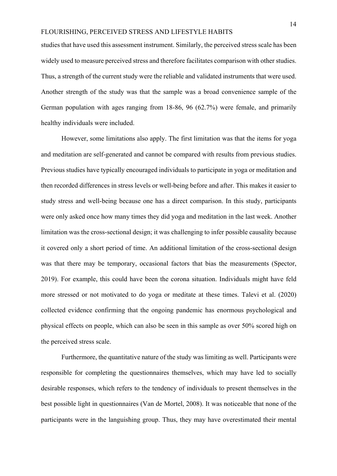studies that have used this assessment instrument. Similarly, the perceived stress scale has been widely used to measure perceived stress and therefore facilitates comparison with other studies. Thus, a strength of the current study were the reliable and validated instruments that were used. Another strength of the study was that the sample was a broad convenience sample of the German population with ages ranging from 18-86, 96 (62.7%) were female, and primarily healthy individuals were included.

However, some limitations also apply. The first limitation was that the items for yoga and meditation are self-generated and cannot be compared with results from previous studies. Previous studies have typically encouraged individuals to participate in yoga or meditation and then recorded differences in stress levels or well-being before and after. This makes it easier to study stress and well-being because one has a direct comparison. In this study, participants were only asked once how many times they did yoga and meditation in the last week. Another limitation was the cross-sectional design; it was challenging to infer possible causality because it covered only a short period of time. An additional limitation of the cross-sectional design was that there may be temporary, occasional factors that bias the measurements (Spector, 2019). For example, this could have been the corona situation. Individuals might have feld more stressed or not motivated to do yoga or meditate at these times. Talevi et al. (2020) collected evidence confirming that the ongoing pandemic has enormous psychological and physical effects on people, which can also be seen in this sample as over 50% scored high on the perceived stress scale.

Furthermore, the quantitative nature of the study was limiting as well. Participants were responsible for completing the questionnaires themselves, which may have led to socially desirable responses, which refers to the tendency of individuals to present themselves in the best possible light in questionnaires (Van de Mortel, 2008). It was noticeable that none of the participants were in the languishing group. Thus, they may have overestimated their mental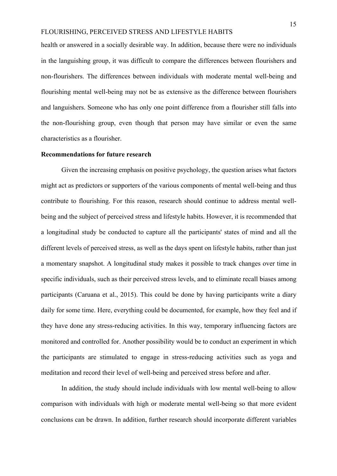health or answered in a socially desirable way. In addition, because there were no individuals in the languishing group, it was difficult to compare the differences between flourishers and non-flourishers. The differences between individuals with moderate mental well-being and flourishing mental well-being may not be as extensive as the difference between flourishers and languishers. Someone who has only one point difference from a flourisher still falls into the non-flourishing group, even though that person may have similar or even the same characteristics as a flourisher.

#### **Recommendations for future research**

Given the increasing emphasis on positive psychology, the question arises what factors might act as predictors or supporters of the various components of mental well-being and thus contribute to flourishing. For this reason, research should continue to address mental wellbeing and the subject of perceived stress and lifestyle habits. However, it is recommended that a longitudinal study be conducted to capture all the participants' states of mind and all the different levels of perceived stress, as well as the days spent on lifestyle habits, rather than just a momentary snapshot. A longitudinal study makes it possible to track changes over time in specific individuals, such as their perceived stress levels, and to eliminate recall biases among participants (Caruana et al., 2015). This could be done by having participants write a diary daily for some time. Here, everything could be documented, for example, how they feel and if they have done any stress-reducing activities. In this way, temporary influencing factors are monitored and controlled for. Another possibility would be to conduct an experiment in which the participants are stimulated to engage in stress-reducing activities such as yoga and meditation and record their level of well-being and perceived stress before and after.

In addition, the study should include individuals with low mental well-being to allow comparison with individuals with high or moderate mental well-being so that more evident conclusions can be drawn. In addition, further research should incorporate different variables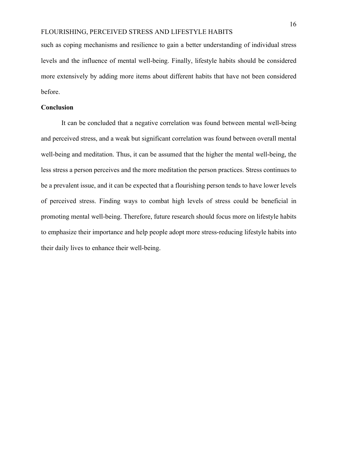such as coping mechanisms and resilience to gain a better understanding of individual stress levels and the influence of mental well-being. Finally, lifestyle habits should be considered more extensively by adding more items about different habits that have not been considered before.

### **Conclusion**

It can be concluded that a negative correlation was found between mental well-being and perceived stress, and a weak but significant correlation was found between overall mental well-being and meditation. Thus, it can be assumed that the higher the mental well-being, the less stress a person perceives and the more meditation the person practices. Stress continues to be a prevalent issue, and it can be expected that a flourishing person tends to have lower levels of perceived stress. Finding ways to combat high levels of stress could be beneficial in promoting mental well-being. Therefore, future research should focus more on lifestyle habits to emphasize their importance and help people adopt more stress-reducing lifestyle habits into their daily lives to enhance their well-being.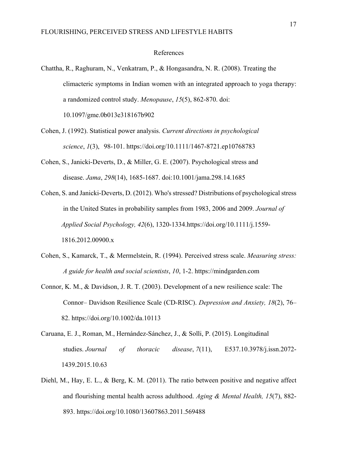### References

Chattha, R., Raghuram, N., Venkatram, P., & Hongasandra, N. R. (2008). Treating the climacteric symptoms in Indian women with an integrated approach to yoga therapy: a randomized control study. *Menopause*, *15*(5), 862-870. doi: 10.1097/gme.0b013e318167b902

- Cohen, J. (1992). Statistical power analysis. *Current directions in psychological science*, *1*(3), 98-101. https://doi.org/10.1111/1467-8721.ep10768783
- Cohen, S., Janicki-Deverts, D., & Miller, G. E. (2007). Psychological stress and disease. *Jama*, *298*(14), 1685-1687. doi:10.1001/jama.298.14.1685
- Cohen, S. and Janicki-Deverts, D. (2012). Who's stressed? Distributions of psychological stress in the United States in probability samples from 1983, 2006 and 2009. *Journal of Applied Social Psychology, 42*(6), 1320-1334.https://doi.org/10.1111/j.1559- 1816.2012.00900.x
- Cohen, S., Kamarck, T., & Mermelstein, R. (1994). Perceived stress scale. *Measuring stress: A guide for health and social scientists*, *10*, 1-2. https://mindgarden.com
- Connor, K. M., & Davidson, J. R. T. (2003). Development of a new resilience scale: The Connor– Davidson Resilience Scale (CD-RISC). *Depression and Anxiety, 18*(2), 76– 82. https://doi.org/10.1002/da.10113
- Caruana, E. J., Roman, M., Hernández-Sánchez, J., & Solli, P. (2015). Longitudinal studies. *Journal of thoracic disease*, *7*(11), E537.10.3978/j.issn.2072- 1439.2015.10.63
- Diehl, M., Hay, E. L., & Berg, K. M. (2011). The ratio between positive and negative affect and flourishing mental health across adulthood. *Aging & Mental Health, 15*(7), 882- 893. https://doi.org/10.1080/13607863.2011.569488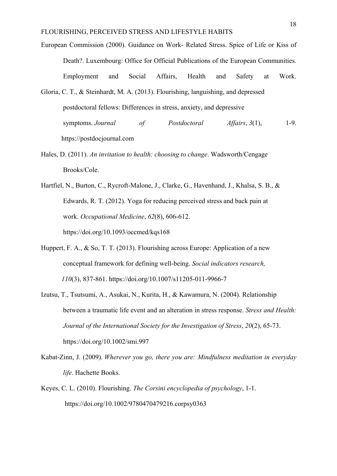- European Commission (2000). Guidance on Work- Related Stress. Spice of Life or Kiss of Death?. Luxembourg: Office for Official Publications of the European Communities. Employment and Social Affairs, Health and Safety at Work.
- Gloria, C. T., & Steinhardt, M. A. (2013). Flourishing, languishing, and depressed postdoctoral fellows: Differences in stress, anxiety, and depressive symptoms. *Journal of Postdoctoral Affairs*, *3*(1), 1-9. https://postdocjournal.com
- Hales, D. (2011). *An invitation to health: choosing to change*. Wadsworth/Cengage Brooks/Cole.
- Hartfiel, N., Burton, C., Rycroft-Malone, J., Clarke, G., Havenhand, J., Khalsa, S. B., & Edwards, R. T. (2012). Yoga for reducing perceived stress and back pain at work. *Occupational Medicine*, *62*(8), 606-612. https://doi.org/10.1093/occmed/kqs168
- Huppert, F. A., & So, T. T. (2013). Flourishing across Europe: Application of a new conceptual framework for defining well-being. *Social indicators research, 110*(3), 837-861. https://doi.org/10.1007/s11205-011-9966-7
- Izutsu, T., Tsutsumi, A., Asukai, N., Kurita, H., & Kawamura, N. (2004). Relationship between a traumatic life event and an alteration in stress response. *Stress and Health: Journal of the International Society for the Investigation of Stress*, *20*(2), 65-73. https://doi.org/10.1002/smi.997
- Kabat-Zinn, J. (2009). *Wherever you go, there you are: Mindfulness meditation in everyday life*. Hachette Books.
- Keyes, C. L. (2010). Flourishing. *The Corsini encyclopedia of psychology*, 1-1. https://doi.org/10.1002/9780470479216.corpsy0363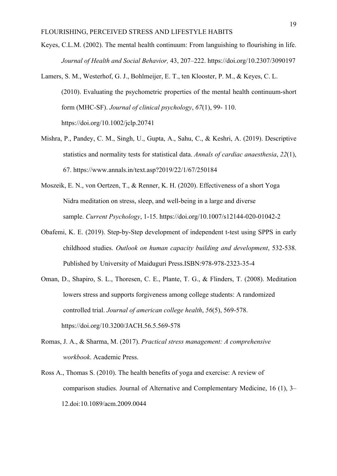- Keyes, C.L.M. (2002). The mental health continuum: From languishing to flourishing in life. *Journal of Health and Social Behavior,* 43, 207–222. https://doi.org/10.2307/3090197
- Lamers, S. M., Westerhof, G. J., Bohlmeijer, E. T., ten Klooster, P. M., & Keyes, C. L. (2010). Evaluating the psychometric properties of the mental health continuum‐short form (MHC‐SF). *Journal of clinical psychology*, *67*(1), 99- 110. https://doi.org/10.1002/jclp.20741
- Mishra, P., Pandey, C. M., Singh, U., Gupta, A., Sahu, C., & Keshri, A. (2019). Descriptive statistics and normality tests for statistical data. *Annals of cardiac anaesthesia*, *22*(1), 67. https://www.annals.in/text.asp?2019/22/1/67/250184
- Moszeik, E. N., von Oertzen, T., & Renner, K. H. (2020). Effectiveness of a short Yoga Nidra meditation on stress, sleep, and well-being in a large and diverse sample. *Current Psychology*, 1-15. https://doi.org/10.1007/s12144-020-01042-2
- Obafemi, K. E. (2019). Step-by-Step development of independent t-test using SPPS in early childhood studies. *Outlook on human capacity building and development*, 532-538. Published by University of Maiduguri Press.ISBN:978-978-2323-35-4
- Oman, D., Shapiro, S. L., Thoresen, C. E., Plante, T. G., & Flinders, T. (2008). Meditation lowers stress and supports forgiveness among college students: A randomized controlled trial. *Journal of american college health*, *56*(5), 569-578. https://doi.org/10.3200/JACH.56.5.569-578
- Romas, J. A., & Sharma, M. (2017). *Practical stress management: A comprehensive workbook*. Academic Press.
- Ross A., Thomas S. (2010). The health benefits of yoga and exercise: A review of comparison studies. Journal of Alternative and Complementary Medicine, 16 (1), 3– 12.doi:10.1089/acm.2009.0044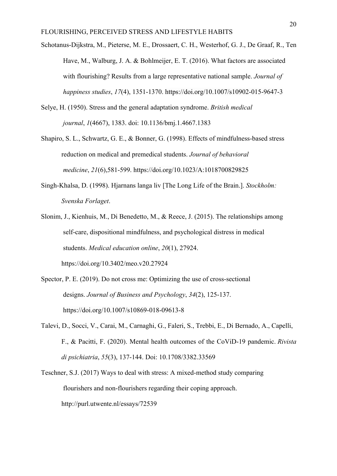- Schotanus-Dijkstra, M., Pieterse, M. E., Drossaert, C. H., Westerhof, G. J., De Graaf, R., Ten Have, M., Walburg, J. A. & Bohlmeijer, E. T. (2016). What factors are associated with flourishing? Results from a large representative national sample. *Journal of happiness studies*, *17*(4), 1351-1370. https://doi.org/10.1007/s10902-015-9647-3
- Selye, H. (1950). Stress and the general adaptation syndrome. *British medical journal*, *1*(4667), 1383. doi: 10.1136/bmj.1.4667.1383
- Shapiro, S. L., Schwartz, G. E., & Bonner, G. (1998). Effects of mindfulness-based stress reduction on medical and premedical students. *Journal of behavioral medicine*, *21*(6),581-599. https://doi.org/10.1023/A:1018700829825
- Singh-Khalsa, D. (1998). Hjarnans langa liv [The Long Life of the Brain.]. *Stockholm: Svenska Forlaget*.
- Slonim, J., Kienhuis, M., Di Benedetto, M., & Reece, J. (2015). The relationships among self-care, dispositional mindfulness, and psychological distress in medical students. *Medical education online*, *20*(1), 27924. https://doi.org/10.3402/meo.v20.27924
- Spector, P. E. (2019). Do not cross me: Optimizing the use of cross-sectional designs. *Journal of Business and Psychology*, *34*(2), 125-137. https://doi.org/10.1007/s10869-018-09613-8
- Talevi, D., Socci, V., Carai, M., Carnaghi, G., Faleri, S., Trebbi, E., Di Bernado, A., Capelli, F., & Pacitti, F. (2020). Mental health outcomes of the CoViD-19 pandemic. *Rivista di psichiatria*, *55*(3), 137-144. Doi: 10.1708/3382.33569
- Teschner, S.J. (2017) Ways to deal with stress: A mixed-method study comparing flourishers and non-flourishers regarding their coping approach. http://purl.utwente.nl/essays/72539